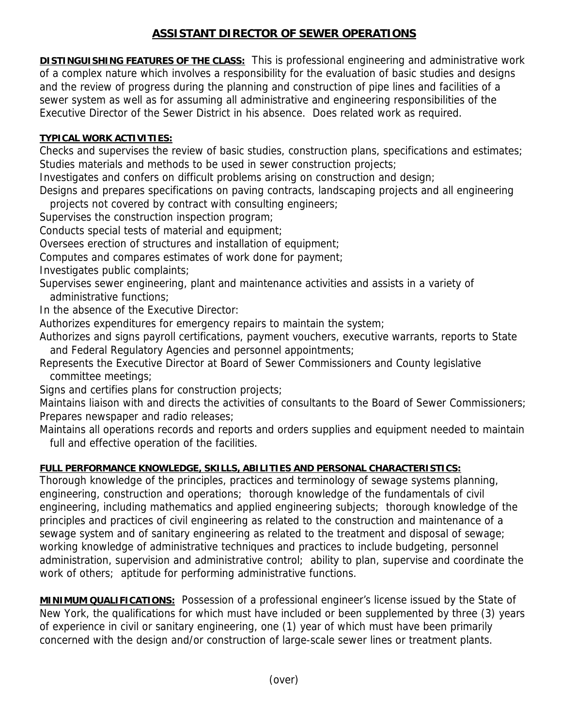## **ASSISTANT DIRECTOR OF SEWER OPERATIONS**

**DISTINGUISHING FEATURES OF THE CLASS:** This is professional engineering and administrative work of a complex nature which involves a responsibility for the evaluation of basic studies and designs and the review of progress during the planning and construction of pipe lines and facilities of a sewer system as well as for assuming all administrative and engineering responsibilities of the Executive Director of the Sewer District in his absence. Does related work as required.

## **TYPICAL WORK ACTIVITIES:**

Checks and supervises the review of basic studies, construction plans, specifications and estimates; Studies materials and methods to be used in sewer construction projects;

Investigates and confers on difficult problems arising on construction and design;

Designs and prepares specifications on paving contracts, landscaping projects and all engineering projects not covered by contract with consulting engineers;

Supervises the construction inspection program;

Conducts special tests of material and equipment;

Oversees erection of structures and installation of equipment;

Computes and compares estimates of work done for payment;

Investigates public complaints;

- Supervises sewer engineering, plant and maintenance activities and assists in a variety of administrative functions;
- In the absence of the Executive Director:

Authorizes expenditures for emergency repairs to maintain the system;

Authorizes and signs payroll certifications, payment vouchers, executive warrants, reports to State and Federal Regulatory Agencies and personnel appointments;

Represents the Executive Director at Board of Sewer Commissioners and County legislative committee meetings;

Signs and certifies plans for construction projects;

Maintains liaison with and directs the activities of consultants to the Board of Sewer Commissioners; Prepares newspaper and radio releases;

Maintains all operations records and reports and orders supplies and equipment needed to maintain full and effective operation of the facilities.

## **FULL PERFORMANCE KNOWLEDGE, SKILLS, ABILITIES AND PERSONAL CHARACTERISTICS:**

Thorough knowledge of the principles, practices and terminology of sewage systems planning, engineering, construction and operations; thorough knowledge of the fundamentals of civil engineering, including mathematics and applied engineering subjects; thorough knowledge of the principles and practices of civil engineering as related to the construction and maintenance of a sewage system and of sanitary engineering as related to the treatment and disposal of sewage; working knowledge of administrative techniques and practices to include budgeting, personnel administration, supervision and administrative control; ability to plan, supervise and coordinate the work of others; aptitude for performing administrative functions.

**MINIMUM QUALIFICATIONS:** Possession of a professional engineer's license issued by the State of New York, the qualifications for which must have included or been supplemented by three (3) years of experience in civil or sanitary engineering, one (1) year of which must have been primarily concerned with the design and/or construction of large-scale sewer lines or treatment plants.